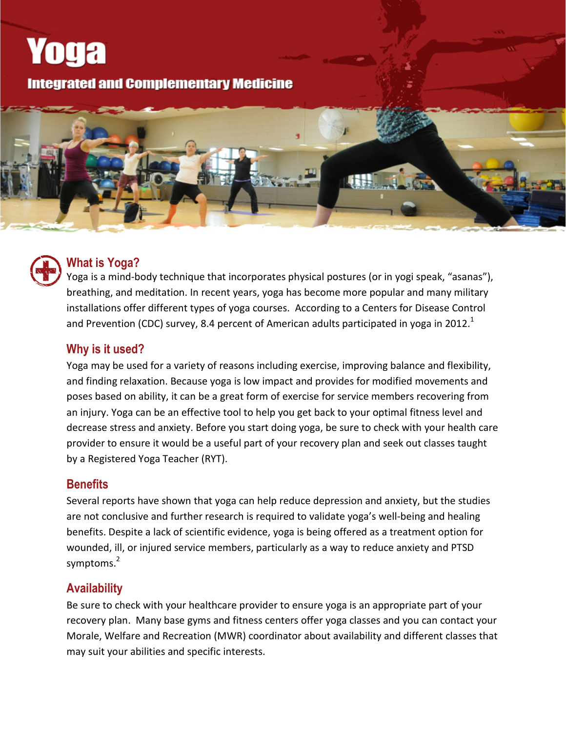# **Integrated and Complementary Medicine**





**Yoga** 

#### **What is Yoga?**

Yoga is a mind-body technique that incorporates physical postures (or in yogi speak, "asanas"), breathing, and meditation. In recent years, yoga has become more popular and many military installations offer different types of yoga courses. According to a Centers for Disease Control and Prevention (CDC) survey, 8.4 percent of American adults participated in yoga in 2012.<sup>1</sup>

#### **Why is it used?**

Yoga may be used for a variety of reasons including exercise, improving balance and flexibility, and finding relaxation. Because yoga is low impact and provides for modified movements and poses based on ability, it can be a great form of exercise for service members recovering from an injury. Yoga can be an effective tool to help you get back to your optimal fitness level and decrease stress and anxiety. Before you start doing yoga, be sure to check with your health care provider to ensure it would be a useful part of your recovery plan and seek out classes taught by a Registered Yoga Teacher (RYT).

#### **Benefits**

Several reports have shown that yoga can help reduce depression and anxiety, but the studies are not conclusive and further research is required to validate yoga's well-being and healing benefits. Despite a lack of scientific evidence, yoga is being offered as a treatment option for wounded, ill, or injured service members, particularly as a way to reduce anxiety and PTSD symptoms.<sup>2</sup>

#### **Availability**

Be sure to check with your healthcare provider to ensure yoga is an appropriate part of your recovery plan. Many base gyms and fitness centers offer yoga classes and you can contact your Morale, Welfare and Recreation (MWR) coordinator about availability and different classes that may suit your abilities and specific interests.